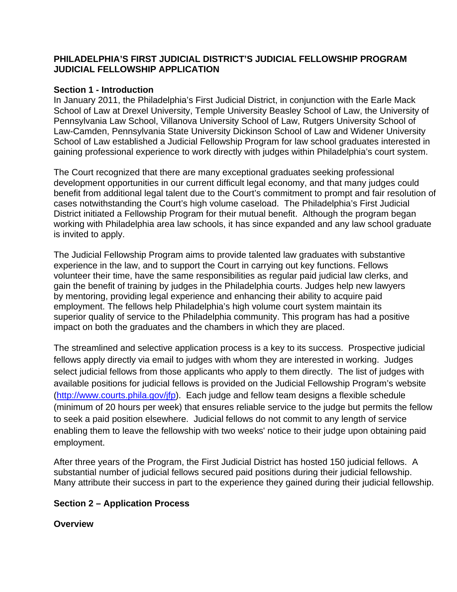#### **PHILADELPHIA'S FIRST JUDICIAL DISTRICT'S JUDICIAL FELLOWSHIP PROGRAM JUDICIAL FELLOWSHIP APPLICATION**

#### **Section 1 - Introduction**

In January 2011, the Philadelphia's First Judicial District, in conjunction with the Earle Mack School of Law at Drexel University, Temple University Beasley School of Law, the University of Pennsylvania Law School, Villanova University School of Law, Rutgers University School of Law-Camden, Pennsylvania State University Dickinson School of Law and Widener University School of Law established a Judicial Fellowship Program for law school graduates interested in gaining professional experience to work directly with judges within Philadelphia's court system.

The Court recognized that there are many exceptional graduates seeking professional development opportunities in our current difficult legal economy, and that many judges could benefit from additional legal talent due to the Court's commitment to prompt and fair resolution of cases notwithstanding the Court's high volume caseload. The Philadelphia's First Judicial District initiated a Fellowship Program for their mutual benefit. Although the program began working with Philadelphia area law schools, it has since expanded and any law school graduate is invited to apply.

The Judicial Fellowship Program aims to provide talented law graduates with substantive experience in the law, and to support the Court in carrying out key functions. Fellows volunteer their time, have the same responsibilities as regular paid judicial law clerks, and gain the benefit of training by judges in the Philadelphia courts. Judges help new lawyers by mentoring, providing legal experience and enhancing their ability to acquire paid employment. The fellows help Philadelphia's high volume court system maintain its superior quality of service to the Philadelphia community. This program has had a positive impact on both the graduates and the chambers in which they are placed.

The streamlined and selective application process is a key to its success. Prospective judicial fellows apply directly via email to judges with whom they are interested in working. Judges select judicial fellows from those applicants who apply to them directly. The list of judges with available positions for judicial fellows is provided on the Judicial Fellowship Program's website (http://www.courts.phila.gov/jfp). Each judge and fellow team designs a flexible schedule (minimum of 20 hours per week) that ensures reliable service to the judge but permits the fellow to seek a paid position elsewhere. Judicial fellows do not commit to any length of service enabling them to leave the fellowship with two weeks' notice to their judge upon obtaining paid employment.

After three years of the Program, the First Judicial District has hosted 150 judicial fellows. A substantial number of judicial fellows secured paid positions during their judicial fellowship. Many attribute their success in part to the experience they gained during their judicial fellowship.

## **Section 2 – Application Process**

**Overview**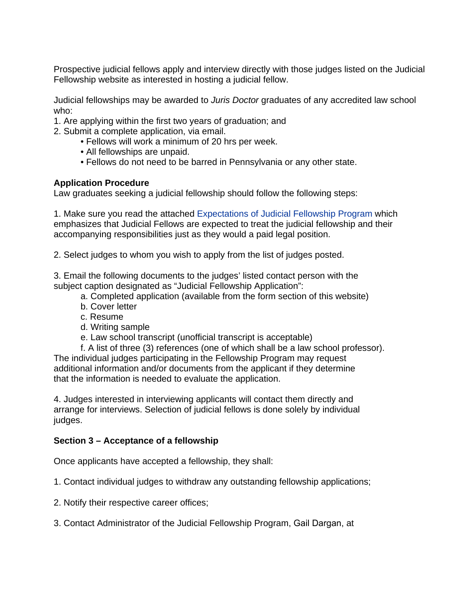Prospective judicial fellows apply and interview directly with those judges listed on the Judicial Fellowship website as interested in hosting a judicial fellow.

Judicial fellowships may be awarded to *Juris Doctor* graduates of any accredited law school who:

- 1. Are applying within the first two years of graduation; and
- 2. Submit a complete application, via email.
	- Fellows will work a minimum of 20 hrs per week.
	- All fellowships are unpaid.
	- Fellows do not need to be barred in Pennsylvania or any other state.

### **Application Procedure**

Law graduates seeking a judicial fellowship should follow the following steps:

1. Make sure you read the attached Expectations of Judicial Fellowship Program which emphasizes that Judicial Fellows are expected to treat the judicial fellowship and their accompanying responsibilities just as they would a paid legal position.

2. Select judges to whom you wish to apply from the list of judges posted.

3. Email the following documents to the judges' listed contact person with the subject caption designated as "Judicial Fellowship Application":

- a. Completed application (available from the form section of this website)
- b. Cover letter
- c. Resume
- d. Writing sample
- e. Law school transcript (unofficial transcript is acceptable)

f. A list of three (3) references (one of which shall be a law school professor). The individual judges participating in the Fellowship Program may request additional information and/or documents from the applicant if they determine that the information is needed to evaluate the application.

4. Judges interested in interviewing applicants will contact them directly and arrange for interviews. Selection of judicial fellows is done solely by individual judges.

## **Section 3 – Acceptance of a fellowship**

Once applicants have accepted a fellowship, they shall:

1. Contact individual judges to withdraw any outstanding fellowship applications;

- 2. Notify their respective career offices;
- 3. Contact Administrator of the Judicial Fellowship Program, Gail Dargan, at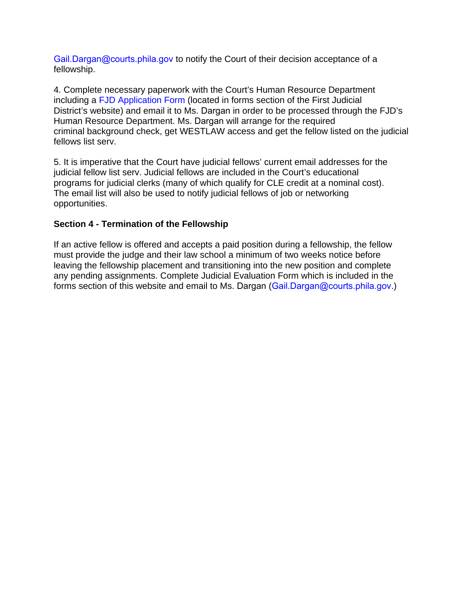Gail.Dargan@courts.phila.gov to notify the Court of their decision acceptance of a fellowship.

4. Complete necessary paperwork with the Court's Human Resource Department including a FJD Application Form (located in forms section of the First Judicial District's website) and email it to Ms. Dargan in order to be processed through the FJD's Human Resource Department. Ms. Dargan will arrange for the required criminal background check, get WESTLAW access and get the fellow listed on the judicial fellows list serv.

5. It is imperative that the Court have judicial fellows' current email addresses for the judicial fellow list serv. Judicial fellows are included in the Court's educational programs for judicial clerks (many of which qualify for CLE credit at a nominal cost). The email list will also be used to notify judicial fellows of job or networking opportunities.

### **Section 4 - Termination of the Fellowship**

If an active fellow is offered and accepts a paid position during a fellowship, the fellow must provide the judge and their law school a minimum of two weeks notice before leaving the fellowship placement and transitioning into the new position and complete any pending assignments. Complete Judicial Evaluation Form which is included in the forms section of this website and email to Ms. Dargan (Gail.Dargan@courts.phila.gov.)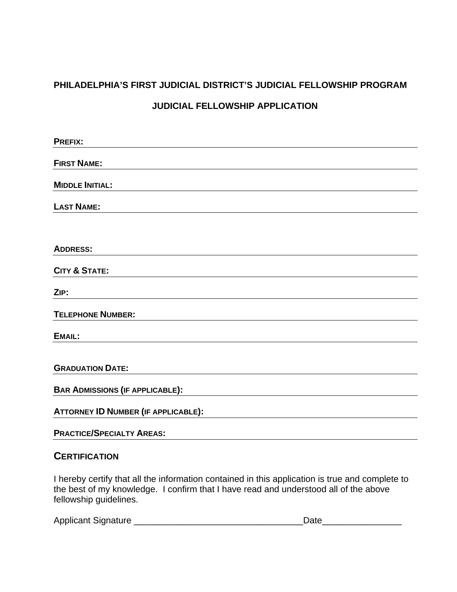# **PHILADELPHIA'S FIRST JUDICIAL DISTRICT'S JUDICIAL FELLOWSHIP PROGRAM**

## **JUDICIAL FELLOWSHIP APPLICATION**

| <b>PREFIX:</b>                             |  |
|--------------------------------------------|--|
| <b>FIRST NAME:</b>                         |  |
| <b>MIDDLE INITIAL:</b>                     |  |
| <b>LAST NAME:</b>                          |  |
|                                            |  |
| <b>ADDRESS:</b>                            |  |
| <b>CITY &amp; STATE:</b>                   |  |
| ZIP:                                       |  |
| <b>TELEPHONE NUMBER:</b>                   |  |
| <b>EMAIL:</b>                              |  |
| <b>GRADUATION DATE:</b>                    |  |
| <b>BAR ADMISSIONS (IF APPLICABLE):</b>     |  |
| <b>ATTORNEY ID NUMBER (IF APPLICABLE):</b> |  |
| <b>PRACTICE/SPECIALTY AREAS:</b>           |  |

## **CERTIFICATION**

I hereby certify that all the information contained in this application is true and complete to the best of my knowledge. I confirm that I have read and understood all of the above fellowship guidelines.

| <b>Applicant Signature</b> |  |
|----------------------------|--|
|                            |  |